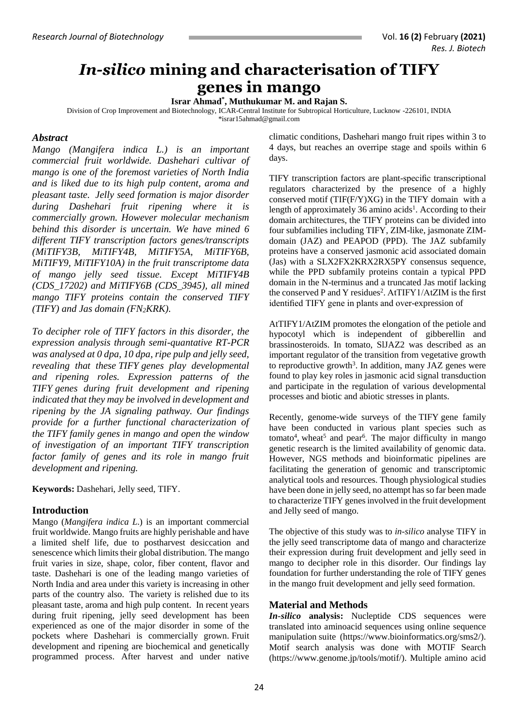# *In-silico* **mining and characterisation of TIFY genes in mango**

**Israr Ahmad\* , Muthukumar M. and Rajan S.**

Division of Crop Improvement and Biotechnology, ICAR-Central Institute for Subtropical Horticulture, Lucknow -226101, INDIA

[\\*israr15ahmad@gmail.com](mailto:anju.bajpai@gmail.com)

# *Abstract*

*Mango (Mangifera indica L.) is an important commercial fruit worldwide. Dashehari cultivar of mango is one of the foremost varieties of North India and is liked due to its high pulp content, aroma and pleasant taste. Jelly seed formation is major disorder during Dashehari fruit ripening where it is commercially grown. However molecular mechanism behind this disorder is uncertain. We have mined 6 different TIFY transcription factors genes/transcripts (MiTIFY3B, MiTIFY4B, MiTIFY5A, MiTIFY6B, MiTIFY9, MiTIFY10A) in the fruit transcriptome data of mango jelly seed tissue. Except MiTIFY4B (CDS\_17202) and MiTIFY6B (CDS\_3945), all mined mango TIFY proteins contain the conserved TIFY (TIFY) and Jas domain (FN2KRK).* 

*To decipher role of TIFY factors in this disorder, the expression analysis through semi-quantative RT-PCR was analysed at 0 dpa, 10 dpa, ripe pulp and jelly seed, revealing that these TIFY genes play developmental and ripening roles. Expression patterns of the TIFY genes during fruit development and ripening indicated that they may be involved in development and ripening by the JA signaling pathway. Our findings provide for a further functional characterization of the TIFY family genes in mango and open the window of investigation of an important TIFY transcription factor family of genes and its role in mango fruit development and ripening.* 

**Keywords:** Dashehari, Jelly seed, TIFY.

## **Introduction**

Mango (*Mangifera indica L*.) is an important commercial fruit worldwide. Mango fruits are highly perishable and have a limited shelf life, due to postharvest desiccation and senescence which limits their global distribution. The mango fruit varies in size, shape, color, fiber content, flavor and taste. Dashehari is one of the leading mango varieties of North India and area under this variety is increasing in other parts of the country also. The variety is relished due to its pleasant taste, aroma and high pulp content. In recent years during fruit ripening, jelly seed development has been experienced as one of the major disorder in some of the pockets where Dashehari is commercially grown. Fruit development and ripening are biochemical and genetically programmed process. After harvest and under native climatic conditions, Dashehari mango fruit ripes within 3 to 4 days, but reaches an overripe stage and spoils within 6 days.

TIFY transcription factors are plant-specific transcriptional regulators characterized by the presence of a highly conserved motif (TIF(F/Y)XG) in the TIFY domain with a length of approximately 36 amino acids<sup>1</sup>. According to their domain architectures, the TIFY proteins can be divided into four subfamilies including TIFY, ZIM-like, jasmonate ZIMdomain (JAZ) and PEAPOD (PPD). The JAZ subfamily proteins have a conserved jasmonic acid associated domain (Jas) with a SLX2FX2KRX2RX5PY consensus sequence, while the PPD subfamily proteins contain a typical PPD domain in the N-terminus and a truncated Jas motif lacking the conserved P and Y residues<sup>2</sup>. AtTIFY1/AtZIM is the first identified TIFY gene in plants and over-expression of

AtTIFY1/AtZIM promotes the elongation of the petiole and hypocotyl which is independent of gibberellin and brassinosteroids. In tomato, SlJAZ2 was described as an important regulator of the transition from vegetative growth to reproductive growth<sup>3</sup>. In addition, many JAZ genes were found to play key roles in jasmonic acid signal transduction and participate in the regulation of various developmental processes and biotic and abiotic stresses in plants.

Recently, genome-wide surveys of the TIFY gene family have been conducted in various plant species such as tomato<sup>4</sup>, wheat<sup>5</sup> and pear<sup>6</sup>. The major difficulty in mango genetic research is the limited availability of genomic data. However, NGS methods and bioinformatic pipelines are facilitating the generation of genomic and transcriptomic analytical tools and resources. Though physiological studies have been done in jelly seed, no attempt has so far been made to characterize TIFY genes involved in the fruit development and Jelly seed of mango.

The objective of this study was to *in-silico* analyse TIFY in the jelly seed transcriptome data of mango and characterize their expression during fruit development and jelly seed in mango to decipher role in this disorder. Our findings lay foundation for further understanding the role of TIFY genes in the mango fruit development and jelly seed formation.

## **Material and Methods**

*In-silico* **analysis:** Nucleptide CDS sequences were translated into aminoacid sequences using online sequence manipulation suite [\(https://www.bioinformatics.org/sms2/\)](https://www.bioinformatics.org/sms2/). Motif search analysis was done with MOTIF Search [\(https://www.genome.jp/tools/motif/\)](https://www.genome.jp/tools/motif/). Multiple amino acid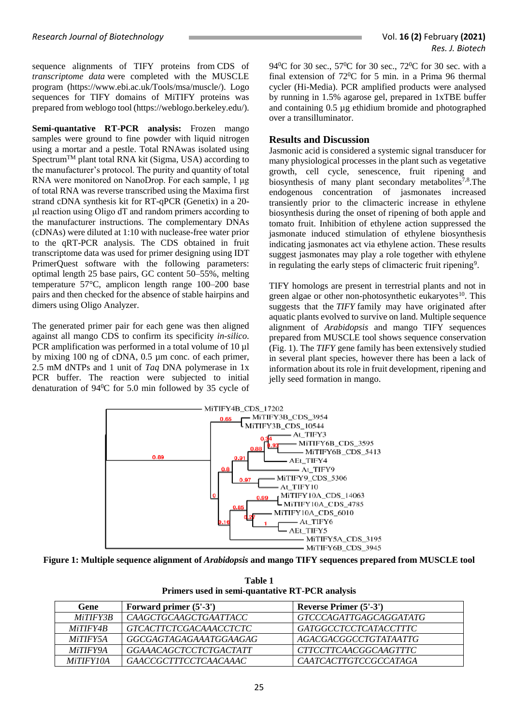sequence alignments of TIFY proteins from CDS of *transcriptome data* were completed with the MUSCLE program [\(https://www.ebi.ac.uk/Tools/msa/muscle/\)](https://www.ebi.ac.uk/Tools/msa/muscle/). Logo sequences for TIFY domains of MiTIFY proteins was prepared from weblogo tool [\(https://weblogo.berkeley.edu/\)](https://weblogo.berkeley.edu/).

**Semi-quantative RT-PCR analysis:** Frozen mango samples were ground to fine powder with liquid nitrogen using a mortar and a pestle. Total RNAwas isolated using Spectrum<sup>™</sup> plant total RNA kit (Sigma, USA) according to the manufacturer's protocol. The purity and quantity of total RNA were monitored on NanoDrop. For each sample, 1 μg of total RNA was reverse transcribed using the Maxima first strand cDNA synthesis kit for RT-qPCR (Genetix) in a 20 μl reaction using Oligo dT and random primers according to the manufacturer instructions. The complementary DNAs (cDNAs) were diluted at 1:10 with nuclease-free water prior to the qRT-PCR analysis. The CDS obtained in fruit transcriptome data was used for primer designing using IDT PrimerQuest software with the following parameters: optimal length 25 base pairs, GC content 50–55%, melting temperature 57°C, amplicon length range 100–200 base pairs and then checked for the absence of stable hairpins and dimers using Oligo Analyzer.

The generated primer pair for each gene was then aligned against all mango CDS to confirm its specificity *in-silico*. PCR amplification was performed in a total volume of 10  $\mu$ l by mixing 100 ng of cDNA, 0.5 µm conc. of each primer, 2.5 mM dNTPs and 1 unit of *Taq* DNA polymerase in 1x PCR buffer. The reaction were subjected to initial denaturation of 94<sup>0</sup>C for 5.0 min followed by 35 cycle of 94<sup>0</sup>C for 30 sec., 57<sup>0</sup>C for 30 sec., 72<sup>0</sup>C for 30 sec. with a final extension of  $72^0C$  for 5 min. in a Prima 96 thermal cycler (Hi-Media). PCR amplified products were analysed by running in 1.5% agarose gel, prepared in 1xTBE buffer and containing 0.5 µg ethidium bromide and photographed over a transilluminator.

#### **Results and Discussion**

Jasmonic acid is considered a systemic signal transducer for many physiological processes in the plant such as vegetative growth, cell cycle, senescence, fruit ripening and biosynthesis of many plant secondary metabolites<sup>7,8</sup>. The endogenous concentration of jasmonates increased transiently prior to the climacteric increase in ethylene biosynthesis during the onset of ripening of both apple and tomato fruit. Inhibition of ethylene action suppressed the jasmonate induced stimulation of ethylene biosynthesis indicating jasmonates act via ethylene action. These results suggest jasmonates may play a role together with ethylene in regulating the early steps of climacteric fruit ripening<sup>9</sup>.

TIFY homologs are present in terrestrial plants and not in green algae or other non-photosynthetic eukaryotes<sup>10</sup>. This suggests that the *TIFY* family may have originated after aquatic plants evolved to survive on land. Multiple sequence alignment of *Arabidopsis* and mango TIFY sequences prepared from MUSCLE tool shows sequence conservation (Fig. 1). The *TIFY* gene family has been extensively studied in several plant species, however there has been a lack of information about its role in fruit development, ripening and jelly seed formation in mango.



**Figure 1: Multiple sequence alignment of** *Arabidopsis* **and mango TIFY sequences prepared from MUSCLE tool**

| Gene             | Forward primer $(5'-3')$      | Reverse Primer (5'-3')        |
|------------------|-------------------------------|-------------------------------|
| <i>MiTIFY3B</i>  | <i>CAAGCTGCAAGCTGAATTACC</i>  | <i>GTCCCAGATTGAGCAGGATATG</i> |
| <i>MiTIFY4B</i>  | <i>GTCACTTCTCGACAAACCTCTC</i> | <i>GATGGCCTCCTCATACCTTTC</i>  |
| <i>MiTIFY5A</i>  | GGCGAGTAGAGAAATGGAAGAG        | <i>AGACGACGGCCTGTATAATTG</i>  |
| <i>MiTIFY9A</i>  | <b>GGAAACAGCTCCTCTGACTATT</b> | CTTCCTTCAACGGCAAGTTTC         |
| <i>MiTIFY10A</i> | <i>GAACCGCTTTCCTCAACAAAC</i>  | <i>CAATCACTTGTCCGCCATAGA</i>  |

**Table 1 Primers used in semi-quantative RT-PCR analysis**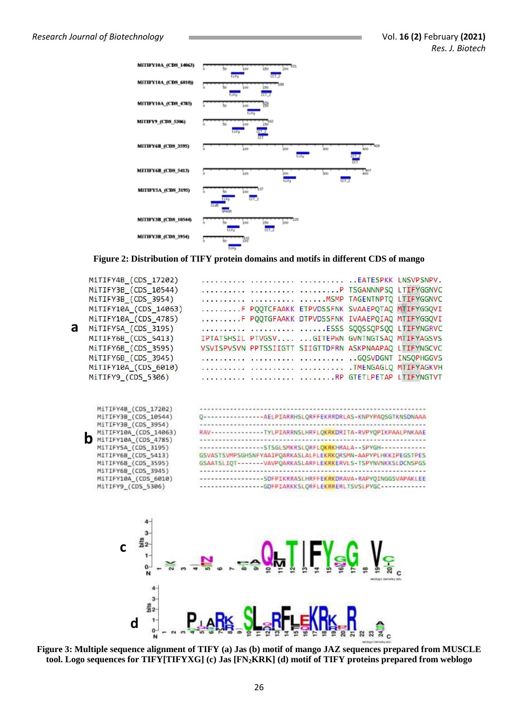

**Figure 2: Distribution of TIFY protein domains and motifs in different CDS of mango**



**Figure 3: Multiple sequence alignment of TIFY (a) Jas (b) motif of mango JAZ sequences prepared from MUSCLE tool. Logo sequences for TIFY[TIFYXG] (c) Jas [FN2KRK] (d) motif of TIFY proteins prepared from weblogo**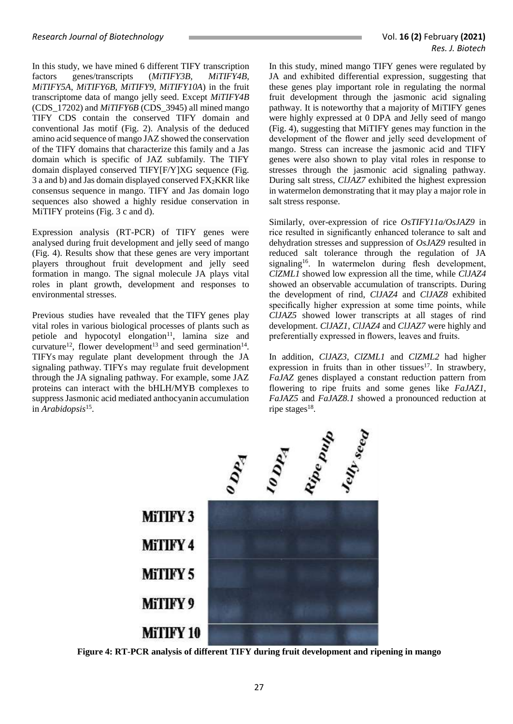In this study, we have mined 6 different TIFY transcription factors genes/transcripts (*MiTIFY3B, MiTIFY4B, MiTIFY5A, MiTIFY6B, MiTIFY9, MiTIFY10A*) in the fruit transcriptome data of mango jelly seed. Except *MiTIFY4B* (CDS\_17202) and *MiTIFY6B* (CDS\_3945) all mined mango TIFY CDS contain the conserved TIFY domain and conventional Jas motif (Fig. 2). Analysis of the deduced amino acid sequence of mango JAZ showed the conservation of the TIFY domains that characterize this family and a Jas domain which is specific of JAZ subfamily. The TIFY domain displayed conserved TIFY[F/Y]XG sequence (Fig. 3 a and b) and Jas domain displayed conserved  $FX_2KKR$  like consensus sequence in mango. TIFY and Jas domain logo sequences also showed a highly residue conservation in MiTIFY proteins (Fig. 3 c and d).

Expression analysis (RT-PCR) of TIFY genes were analysed during fruit development and jelly seed of mango (Fig. 4). Results show that these genes are very important players throughout fruit development and jelly seed formation in mango. The signal molecule JA plays vital roles in plant growth, development and responses to environmental stresses.

Previous studies have revealed that the TIFY genes play vital roles in various biological processes of plants such as petiole and hypocotyl elongation $11$ , lamina size and curvature<sup>12</sup>, flower development<sup>13</sup> and seed germination<sup>14</sup>. TIFYs may regulate plant development through the JA signaling pathway. TIFYs may regulate fruit development through the JA signaling pathway. For example, some JAZ proteins can interact with the bHLH/MYB complexes to suppress Jasmonic acid mediated anthocyanin accumulation in *Arabidopsis*<sup>15</sup> .

In this study, mined mango TIFY genes were regulated by JA and exhibited differential expression, suggesting that these genes play important role in regulating the normal fruit development through the jasmonic acid signaling pathway. It is noteworthy that a majority of MiTIFY genes were highly expressed at 0 DPA and Jelly seed of mango (Fig. 4), suggesting that MiTIFY genes may function in the development of the flower and jelly seed development of mango. Stress can increase the jasmonic acid and TIFY genes were also shown to play vital roles in response to stresses through the jasmonic acid signaling pathway. During salt stress, *ClJAZ7* exhibited the highest expression in watermelon demonstrating that it may play a major role in salt stress response.

Similarly, over-expression of rice *OsTIFY11a/OsJAZ9* in rice resulted in significantly enhanced tolerance to salt and dehydration stresses and suppression of *OsJAZ9* resulted in reduced salt tolerance through the regulation of JA signaling<sup>16</sup>. In watermelon during flesh development, *ClZML1* showed low expression all the time, while *ClJAZ4* showed an observable accumulation of transcripts. During the development of rind, *ClJAZ4* and *ClJAZ8* exhibited specifically higher expression at some time points, while *ClJAZ5* showed lower transcripts at all stages of rind development. *ClJAZ1*, *ClJAZ4* and *ClJAZ7* were highly and preferentially expressed in flowers, leaves and fruits.

In addition, *ClJAZ3*, *ClZML1* and *ClZML2* had higher expression in fruits than in other tissues $17$ . In strawbery, *FaJAZ* genes displayed a constant reduction pattern from flowering to ripe fruits and some genes like *FaJAZ1*, *FaJAZ5* and *FaJAZ8.1* showed a pronounced reduction at ripe stages<sup>18</sup>.



**Figure 4: RT-PCR analysis of different TIFY during fruit development and ripening in mango**